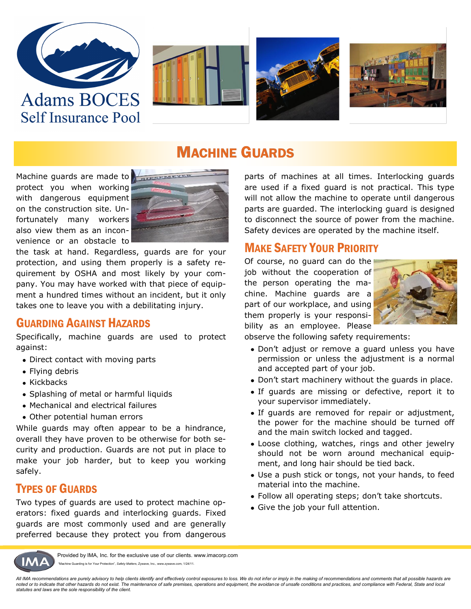

**Self Insurance Pool** 







## MACHINE GUARDS

Machine guards are made to protect you when working with dangerous equipment on the construction site. Unfortunately many workers also view them as an inconvenience or an obstacle to



the task at hand. Regardless, guards are for your protection, and using them properly is a safety requirement by OSHA and most likely by your company. You may have worked with that piece of equipment a hundred times without an incident, but it only takes one to leave you with a debilitating injury.

#### GUARDING AGAINST HAZARDS

Specifically, machine guards are used to protect against:

- Direct contact with moving parts
- Flying debris
- Kickbacks
- Splashing of metal or harmful liquids
- Mechanical and electrical failures
- Other potential human errors

While guards may often appear to be a hindrance, overall they have proven to be otherwise for both security and production. Guards are not put in place to make your job harder, but to keep you working safely.

#### TYPES OF GUARDS

Two types of guards are used to protect machine operators: fixed guards and interlocking guards. Fixed guards are most commonly used and are generally preferred because they protect you from dangerous parts of machines at all times. Interlocking guards are used if a fixed guard is not practical. This type will not allow the machine to operate until dangerous parts are guarded. The interlocking guard is designed to disconnect the source of power from the machine. Safety devices are operated by the machine itself.

#### MAKE SAFETY YOUR PRIORITY

Of course, no guard can do the job without the cooperation of the person operating the machine. Machine guards are a part of our workplace, and using them properly is your responsibility as an employee. Please



observe the following safety requirements:

- Don't adjust or remove a guard unless you have permission or unless the adjustment is a normal and accepted part of your job.
- Don't start machinery without the guards in place.
- If guards are missing or defective, report it to your supervisor immediately.
- If guards are removed for repair or adjustment, the power for the machine should be turned off and the main switch locked and tagged.
- Loose clothing, watches, rings and other jewelry should not be worn around mechanical equipment, and long hair should be tied back.
- Use a push stick or tongs, not your hands, to feed material into the machine.
- Follow all operating steps; don't take shortcuts.
- Give the job your full attention.



Provided by IMA, Inc. for the exclusive use of our clients. www.imacorp.com "Machine Guarding is for Your Protection", *Safety Matters*, Zywave, Inc., www.zywave.com, 1/24/11.

All IMA recommendations are purely advisory to help clients identify and effectively control exposures to loss. We do not infer or imply in the making of recommendations and comments that all possible hazards are *noted or to indicate that other hazards do not exist. The maintenance of safe premises, operations and equipment, the avoidance of unsafe conditions and practices, and compliance with Federal, State and local statutes and laws are the sole responsibility of the client.*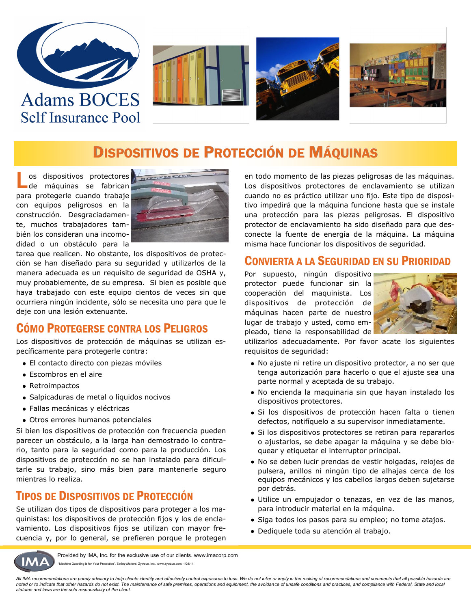







## DISPOSITIVOS DE PROTECCIÓN DE MÁQUINAS

L os dispositivos protectores de máquinas se fabrican para protegerle cuando trabaje con equipos peligrosos en la construcción. Desgraciadamente, muchos trabajadores también los consideran una incomodidad o un obstáculo para la



tarea que realicen. No obstante, los dispositivos de protección se han diseñado para su seguridad y utilizarlos de la manera adecuada es un requisito de seguridad de OSHA y, muy probablemente, de su empresa. Si bien es posible que haya trabajado con este equipo cientos de veces sin que ocurriera ningún incidente, sólo se necesita uno para que le deje con una lesión extenuante.

#### CÓMO PROTEGERSE CONTRA LOS PELIGROS

Los dispositivos de protección de máquinas se utilizan específicamente para protegerle contra:

- El contacto directo con piezas móviles
- Escombros en el aire
- Retroimpactos
- Salpicaduras de metal o líquidos nocivos
- Fallas mecánicas y eléctricas
- Otros errores humanos potenciales

Si bien los dispositivos de protección con frecuencia pueden parecer un obstáculo, a la larga han demostrado lo contrario, tanto para la seguridad como para la producción. Los dispositivos de protección no se han instalado para dificultarle su trabajo, sino más bien para mantenerle seguro mientras lo realiza.

#### TIPOS DE DISPOSITIVOS DE PROTECCIÓN

Se utilizan dos tipos de dispositivos para proteger a los maquinistas: los dispositivos de protección fijos y los de enclavamiento. Los dispositivos fijos se utilizan con mayor frecuencia y, por lo general, se prefieren porque le protegen en todo momento de las piezas peligrosas de las máquinas. Los dispositivos protectores de enclavamiento se utilizan cuando no es práctico utilizar uno fijo. Este tipo de dispositivo impedirá que la máquina funcione hasta que se instale una protección para las piezas peligrosas. El dispositivo protector de enclavamiento ha sido diseñado para que desconecte la fuente de energía de la máquina. La máquina misma hace funcionar los dispositivos de seguridad.

#### CONVIERTA A LA SEGURIDAD EN SU PRIORIDAD

Por supuesto, ningún dispositivo protector puede funcionar sin la cooperación del maquinista. Los dispositivos de protección de máquinas hacen parte de nuestro lugar de trabajo y usted, como empleado, tiene la responsabilidad de



utilizarlos adecuadamente. Por favor acate los siguientes requisitos de seguridad:

- No ajuste ni retire un dispositivo protector, a no ser que tenga autorización para hacerlo o que el ajuste sea una parte normal y aceptada de su trabajo.
- No encienda la maquinaria sin que hayan instalado los dispositivos protectores.
- Si los dispositivos de protección hacen falta o tienen defectos, notifíquelo a su supervisor inmediatamente.
- Si los dispositivos protectores se retiran para repararlos o ajustarlos, se debe apagar la máquina y se debe bloquear y etiquetar el interruptor principal.
- No se deben lucir prendas de vestir holgadas, relojes de pulsera, anillos ni ningún tipo de alhajas cerca de los equipos mecánicos y los cabellos largos deben sujetarse por detrás.
- Utilice un empujador o tenazas, en vez de las manos, para introducir material en la máquina.
- · Siga todos los pasos para su empleo; no tome atajos.
- Dedíquele toda su atención al trabajo.



Provided by IMA, Inc. for the exclusive use of our clients. www.imacorp.com "Machine Guarding is for Your Protection", *Safety Matters*, Zywave, Inc., www.zywave.com, 1/24/11.

*All IMA recommendations are purely advisory to help clients identify and effectively control exposures to loss. We do not infer or imply in the making of recommendations and comments that all possible hazards are noted or to indicate that other hazards do not exist. The maintenance of safe premises, operations and equipment, the avoidance of unsafe conditions and practices, and compliance with Federal, State and local statutes and laws are the sole responsibility of the client.*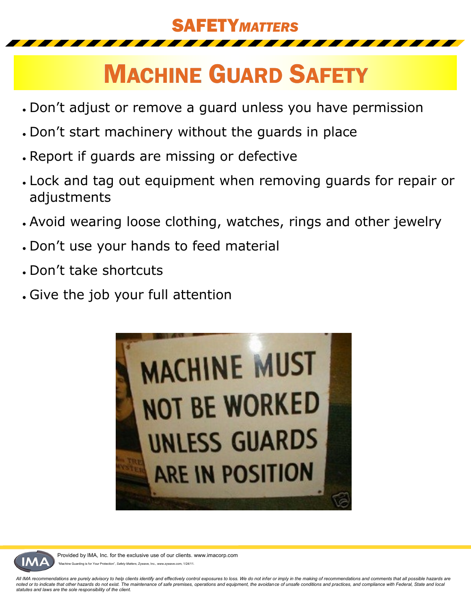## SAFETY*MATTERS*

# MACHINE GUARD SAFETY

- Don't adjust or remove a guard unless you have permission
- Don't start machinery without the guards in place
- Report if guards are missing or defective
- Lock and tag out equipment when removing guards for repair or adjustments
- Avoid wearing loose clothing, watches, rings and other jewelry
- Don't use your hands to feed material
- Don't take shortcuts
- Give the job your full attention





Provided by IMA, Inc. for the exclusive use of our clients. www.imacorp.com Guarding is for Your Protection", Safety Matters, Zywave, Inc., www.zywave.com, 1/24/11.

*All IMA recommendations are purely advisory to help clients identify and effectively control exposures to loss. We do not infer or imply in the making of recommendations and comments that all possible hazards are noted or to indicate that other hazards do not exist. The maintenance of safe premises, operations and equipment, the avoidance of unsafe conditions and practices, and compliance with Federal, State and local statutes and laws are the sole responsibility of the client.*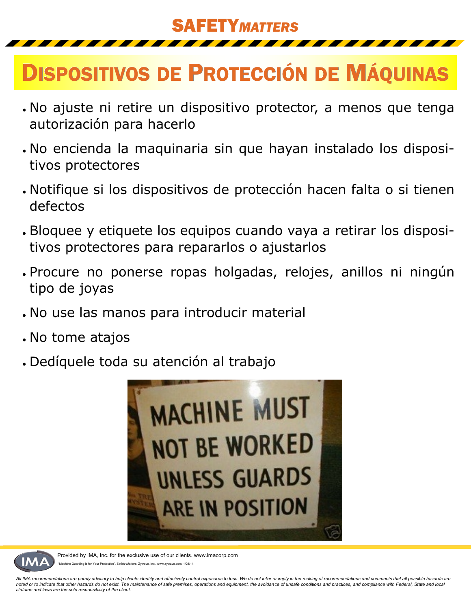## SAFETY*MATTERS*

## DISPOSITIVOS DE PROTECCIÓN DE MÁQUINAS

- No ajuste ni retire un dispositivo protector, a menos que tenga autorización para hacerlo
- No encienda la maquinaria sin que hayan instalado los dispositivos protectores
- Notifique si los dispositivos de protección hacen falta o si tienen defectos
- Bloquee y etiquete los equipos cuando vaya a retirar los dispositivos protectores para repararlos o ajustarlos
- Procure no ponerse ropas holgadas, relojes, anillos ni ningún tipo de joyas
- No use las manos para introducir material
- No tome atajos
- Dedíquele toda su atención al trabajo





Provided by IMA, Inc. for the exclusive use of our clients. www.imacorp.com uarding is for Your Protection", Safety Matters, Zywave, Inc., www.zywave.com, 1/24/11.

*All IMA recommendations are purely advisory to help clients identify and effectively control exposures to loss. We do not infer or imply in the making of recommendations and comments that all possible hazards are noted or to indicate that other hazards do not exist. The maintenance of safe premises, operations and equipment, the avoidance of unsafe conditions and practices, and compliance with Federal, State and local statutes and laws are the sole responsibility of the client.*